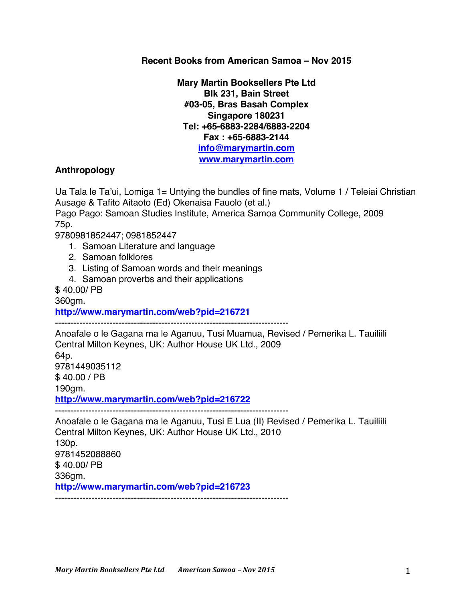**Recent Books from American Samoa – Nov 2015**

**Mary Martin Booksellers Pte Ltd Blk 231, Bain Street #03-05, Bras Basah Complex Singapore 180231 Tel: +65-6883-2284/6883-2204 Fax : +65-6883-2144 info@marymartin.com www.marymartin.com**

## **Anthropology**

Ua Tala le Ta'ui, Lomiga 1= Untying the bundles of fine mats, Volume 1 / Teleiai Christian Ausage & Tafito Aitaoto (Ed) Okenaisa Fauolo (et al.)

Pago Pago: Samoan Studies Institute, America Samoa Community College, 2009 75p.

9780981852447; 0981852447

- 1. Samoan Literature and language
- 2. Samoan folklores
- 3. Listing of Samoan words and their meanings

-----------------------------------------------------------------------------

4. Samoan proverbs and their applications

\$ 40.00/ PB

360gm.

**http://www.marymartin.com/web?pid=216721**

Anoafale o le Gagana ma le Aganuu, Tusi Muamua, Revised / Pemerika L. Tauiliili Central Milton Keynes, UK: Author House UK Ltd., 2009 64p. 9781449035112 \$ 40.00 / PB 190gm. **http://www.marymartin.com/web?pid=216722** -----------------------------------------------------------------------------

Anoafale o le Gagana ma le Aganuu, Tusi E Lua (II) Revised / Pemerika L. Tauiliili Central Milton Keynes, UK: Author House UK Ltd., 2010 130p. 9781452088860 \$ 40.00/ PB 336gm. **http://www.marymartin.com/web?pid=216723** -----------------------------------------------------------------------------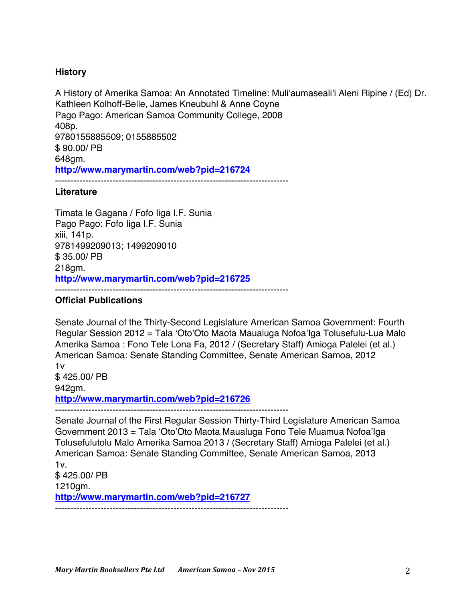## **History**

A History of Amerika Samoa: An Annotated Timeline: Muli'aumaseali'i Aleni Ripine / (Ed) Dr. Kathleen Kolhoff-Belle, James Kneubuhl & Anne Coyne Pago Pago: American Samoa Community College, 2008 408p. 9780155885509; 0155885502 \$ 90.00/ PB 648gm. **http://www.marymartin.com/web?pid=216724** -----------------------------------------------------------------------------

## **Literature**

Timata le Gagana / Fofo Iiga I.F. Sunia Pago Pago: Fofo Iiga I.F. Sunia xiii, 141p. 9781499209013; 1499209010 \$ 35.00/ PB 218gm. **http://www.marymartin.com/web?pid=216725** -----------------------------------------------------------------------------

## **Official Publications**

Senate Journal of the Thirty-Second Legislature American Samoa Government: Fourth Regular Session 2012 = Tala 'Oto'Oto Maota Maualuga Nofoa'Iga Tolusefulu-Lua Malo Amerika Samoa : Fono Tele Lona Fa, 2012 / (Secretary Staff) Amioga Palelei (et al.) American Samoa: Senate Standing Committee, Senate American Samoa, 2012 1v \$ 425.00/ PB 942gm. **http://www.marymartin.com/web?pid=216726** -----------------------------------------------------------------------------

Senate Journal of the First Regular Session Thirty-Third Legislature American Samoa Government 2013 = Tala 'Oto'Oto Maota Maualuga Fono Tele Muamua Nofoa'Iga Tolusefulutolu Malo Amerika Samoa 2013 / (Secretary Staff) Amioga Palelei (et al.) American Samoa: Senate Standing Committee, Senate American Samoa, 2013  $1v<sub>1</sub>$ \$ 425.00/ PB 1210gm. **http://www.marymartin.com/web?pid=216727** -----------------------------------------------------------------------------